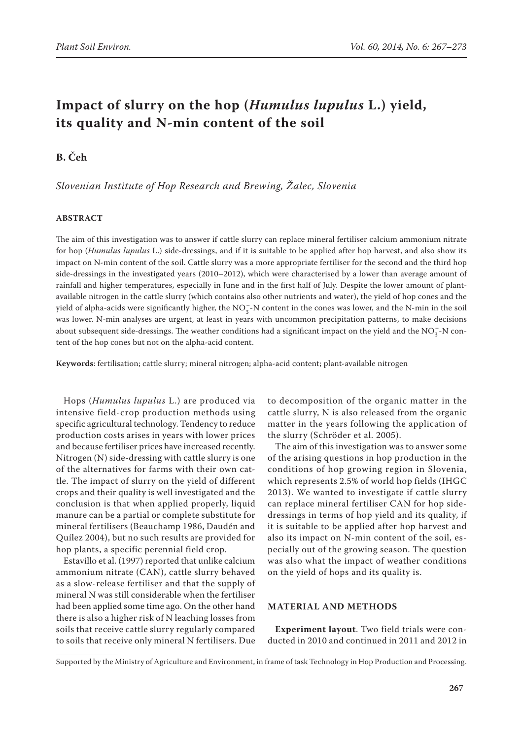# **Impact of slurry on the hop (***Humulus lupulus* **L.) yield, its quality and N-min content of the soil**

## **B. Čeh**

*Slovenian Institute of Hop Research and Brewing, Žalec, Slovenia*

#### **ABSTRACT**

The aim of this investigation was to answer if cattle slurry can replace mineral fertiliser calcium ammonium nitrate for hop (*Humulus lupulus* L.) side-dressings, and if it is suitable to be applied after hop harvest, and also show its impact on N-min content of the soil. Cattle slurry was a more appropriate fertiliser for the second and the third hop side-dressings in the investigated years (2010–2012), which were characterised by a lower than average amount of rainfall and higher temperatures, especially in June and in the first half of July. Despite the lower amount of plantavailable nitrogen in the cattle slurry (which contains also other nutrients and water), the yield of hop cones and the yield of alpha-acids were significantly higher, the  $NO_3^-$ -N content in the cones was lower, and the N-min in the soil was lower. N-min analyses are urgent, at least in years with uncommon precipitation patterns, to make decisions about subsequent side-dressings. The weather conditions had a significant impact on the yield and the  $NO_3^-$ -N content of the hop cones but not on the alpha-acid content.

**Keywords**: fertilisation; cattle slurry; mineral nitrogen; alpha-acid content; plant-available nitrogen

Hops (*Humulus lupulus* L.) are produced via intensive field-crop production methods using specific agricultural technology. Tendency to reduce production costs arises in years with lower prices and because fertiliser prices have increased recently. Nitrogen (N) side-dressing with cattle slurry is one of the alternatives for farms with their own cattle. The impact of slurry on the yield of different crops and their quality is well investigated and the conclusion is that when applied properly, liquid manure can be a partial or complete substitute for mineral fertilisers (Beauchamp 1986, Daudén and Quílez 2004), but no such results are provided for hop plants, a specific perennial field crop.

Estavillo et al. (1997) reported that unlike calcium ammonium nitrate (CAN), cattle slurry behaved as a slow-release fertiliser and that the supply of mineral N was still considerable when the fertiliser had been applied some time ago. On the other hand there is also a higher risk of N leaching losses from soils that receive cattle slurry regularly compared to soils that receive only mineral N fertilisers. Due

to decomposition of the organic matter in the cattle slurry, N is also released from the organic matter in the years following the application of the slurry (Schröder et al. 2005).

The aim of this investigation was to answer some of the arising questions in hop production in the conditions of hop growing region in Slovenia, which represents 2.5% of world hop fields (IHGC 2013). We wanted to investigate if cattle slurry can replace mineral fertiliser CAN for hop sidedressings in terms of hop yield and its quality, if it is suitable to be applied after hop harvest and also its impact on N-min content of the soil, especially out of the growing season. The question was also what the impact of weather conditions on the yield of hops and its quality is.

#### **MATERIAL AND METHODS**

**Experiment layout**. Two field trials were conducted in 2010 and continued in 2011 and 2012 in

Supported by the Ministry of Agriculture and Environment, in frame of task Technology in Hop Production and Processing.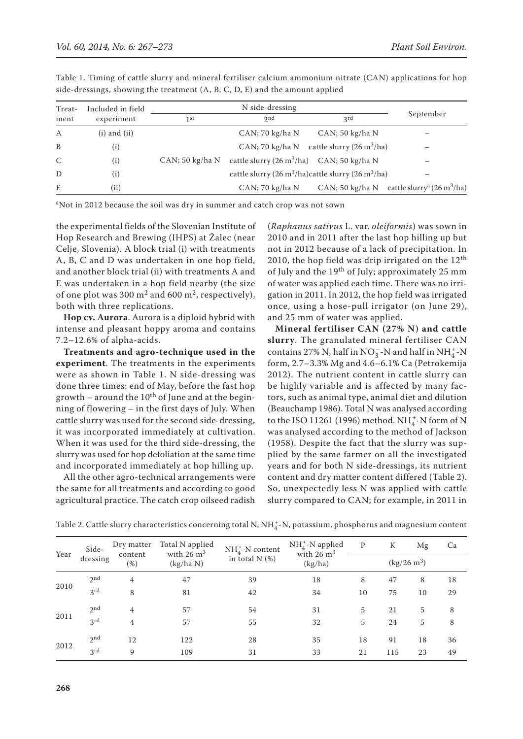| Treat-        | Included in field |                 |                                                            |                                                                            |                                                                    |
|---------------|-------------------|-----------------|------------------------------------------------------------|----------------------------------------------------------------------------|--------------------------------------------------------------------|
| ment          | experiment        | 1 st            | 2nd                                                        | 3rd                                                                        | September                                                          |
| $\mathbf{A}$  | $(i)$ and $(ii)$  |                 | CAN; 70 kg/ha N                                            | CAN; 50 kg/ha N                                                            |                                                                    |
| B             | (i)               |                 |                                                            | CAN; 70 kg/ha N cattle slurry $(26 \text{ m}^3/\text{ha})$                 | –                                                                  |
| $\mathcal{C}$ | (i)               | CAN; 50 kg/ha N | cattle slurry $(26 \text{ m}^3/\text{ha})$ CAN; 50 kg/ha N |                                                                            |                                                                    |
| D             | (i)               |                 |                                                            | cattle slurry (26 m <sup>3</sup> /ha)cattle slurry (26 m <sup>3</sup> /ha) |                                                                    |
| E             | (ii)              |                 | CAN; 70 kg/ha N                                            |                                                                            | CAN; 50 kg/ha N cattle slurry <sup>a</sup> (26 m <sup>3</sup> /ha) |

Table 1. Timing of cattle slurry and mineral fertiliser calcium ammonium nitrate (CAN) applications for hop side-dressings, showing the treatment (A, B, C, D, E) and the amount applied

aNot in 2012 because the soil was dry in summer and catch crop was not sown

the experimental fields of the Slovenian Institute of Hop Research and Brewing (IHPS) at Žalec (near Celje, Slovenia). A block trial (i) with treatments A, B, C and D was undertaken in one hop field, and another block trial (ii) with treatments A and E was undertaken in a hop field nearby (the size of one plot was 300  $m^2$  and 600  $m^2$ , respectively), both with three replications.

**Hop cv. Aurora**. Aurora is a diploid hybrid with intense and pleasant hoppy aroma and contains 7.2–12.6% of alpha-acids.

**Treatments and agro-technique used in the experiment**. The treatments in the experiments were as shown in Table 1. N side-dressing was done three times: end of May, before the fast hop growth – around the  $10^{th}$  of June and at the beginning of flowering – in the first days of July. When cattle slurry was used for the second side-dressing, it was incorporated immediately at cultivation. When it was used for the third side-dressing, the slurry was used for hop defoliation at the same time and incorporated immediately at hop hilling up.

All the other agro-technical arrangements were the same for all treatments and according to good agricultural practice. The catch crop oilseed radish (*Raphanus sativus* L. var. *oleiformis*) was sown in 2010 and in 2011 after the last hop hilling up but not in 2012 because of a lack of precipitation. In 2010, the hop field was drip irrigated on the  $12<sup>th</sup>$ of July and the 19<sup>th</sup> of July; approximately 25 mm of water was applied each time. There was no irrigation in 2011. In 2012, the hop field was irrigated once, using a hose-pull irrigator (on June 29), and 25 mm of water was applied.

**Mineral fertiliser CAN (27% N) and cattle slurry**. The granulated mineral fertiliser CAN contains 27% N, half in  $NO_3^-$ -N and half in  $NH_4^+$ -N form, 2.7–3.3% Mg and 4.6–6.1% Ca (Petrokemija 2012). The nutrient content in cattle slurry can be highly variable and is affected by many factors, such as animal type, animal diet and dilution (Beauchamp 1986). Total N was analysed according to the ISO 11261 (1996) method. NH<sup>+</sup>-N form of N was analysed according to the method of Jackson (1958). Despite the fact that the slurry was supplied by the same farmer on all the investigated years and for both N side-dressings, its nutrient content and dry matter content differed (Table 2). So, unexpectedly less N was applied with cattle slurry compared to CAN; for example, in 2011 in

| Year | Side-<br>dressing | Dry matter<br>content<br>$(\%)$ | Total N applied<br>with $26 \text{ m}^3$<br>(kg/ha N) | $NH_A^+$ -N content<br>in total $N$ (%) | $NH4+$ -N applied<br>with $26 \text{ m}^3$<br>(kg/ha) | $\mathbf{P}$          | K   | Mg | Ca |
|------|-------------------|---------------------------------|-------------------------------------------------------|-----------------------------------------|-------------------------------------------------------|-----------------------|-----|----|----|
|      |                   |                                 |                                                       |                                         |                                                       | $(kg/26 \text{ m}^3)$ |     |    |    |
| 2010 | 2 <sub>nd</sub>   | 4                               | 47                                                    | 39                                      | 18                                                    | 8                     | 47  | 8  | 18 |
|      | 3 <sup>rd</sup>   | 8                               | 81                                                    | 42                                      | 34                                                    | 10                    | 75  | 10 | 29 |
| 2011 | 2 <sub>nd</sub>   | 4                               | 57                                                    | 54                                      | 31                                                    | 5                     | 21  | 5  | 8  |
|      | 3 <sup>rd</sup>   | 4                               | 57                                                    | 55                                      | 32                                                    | 5                     | 24  | 5  | 8  |
| 2012 | 2 <sub>nd</sub>   | 12                              | 122                                                   | 28                                      | 35                                                    | 18                    | 91  | 18 | 36 |
|      | 3 <sup>rd</sup>   | 9                               | 109                                                   | 31                                      | 33                                                    | 21                    | 115 | 23 | 49 |

Table 2. Cattle slurry characteristics concerning total N,  $NH_4^+$ -N, potassium, phosphorus and magnesium content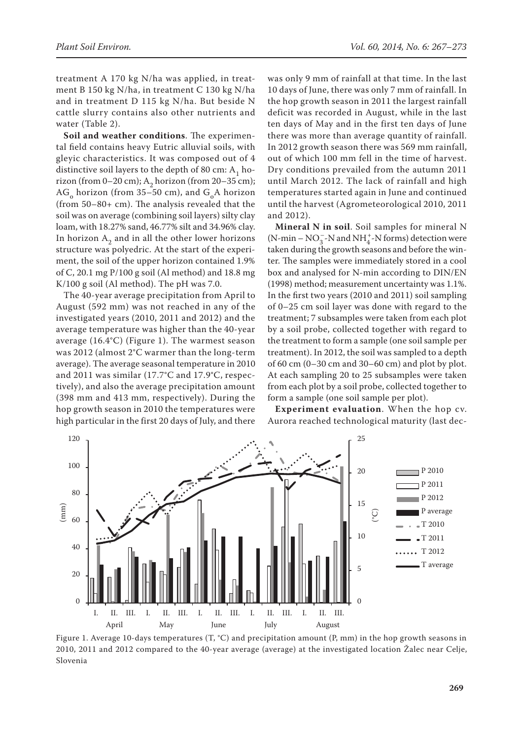treatment A 170 kg N/ha was applied, in treatment B 150 kg N/ha, in treatment C 130 kg N/ha and in treatment D 115 kg N/ha. But beside N cattle slurry contains also other nutrients and water (Table 2).

**Soil and weather conditions**. The experimental field contains heavy Eutric alluvial soils, with gleyic characteristics. It was composed out of 4 distinctive soil layers to the depth of 80 cm:  $A_1$  horizon (from 0–20 cm);  $A_2$  horizon (from 20–35 cm); AG<sub>o</sub> horizon (from 35–50 cm), and  $G_A$  horizon (from 50–80+ cm). The analysis revealed that the soil was on average (combining soil layers) silty clay loam, with 18.27% sand, 46.77% silt and 34.96% clay. In horizon  $A_2$  and in all the other lower horizons structure was polyedric. At the start of the experiment, the soil of the upper horizon contained 1.9% of C, 20.1 mg P/100 g soil (Al method) and 18.8 mg K/100 g soil (Al method). The pH was 7.0.

The 40-year average precipitation from April to August (592 mm) was not reached in any of the investigated years (2010, 2011 and 2012) and the average temperature was higher than the 40-year average (16.4°C) (Figure 1). The warmest season was 2012 (almost 2°C warmer than the long-term average). The average seasonal temperature in 2010 and 2011 was similar (17.7°C and 17.9°C, respectively), and also the average precipitation amount (398 mm and 413 mm, respectively). During the hop growth season in 2010 the temperatures were high particular in the first 20 days of July, and there was only 9 mm of rainfall at that time. In the last 10 days of June, there was only 7 mm of rainfall. In the hop growth season in 2011 the largest rainfall deficit was recorded in August, while in the last ten days of May and in the first ten days of June there was more than average quantity of rainfall. In 2012 growth season there was 569 mm rainfall, out of which 100 mm fell in the time of harvest. Dry conditions prevailed from the autumn 2011 until March 2012. The lack of rainfall and high temperatures started again in June and continued until the harvest (Agrometeorological 2010, 2011 and 2012).

**Mineral N in soil**. Soil samples for mineral N (N-min –  $NO_3^-$ -N and  $NH_4^+$ -N forms) detection were taken during the growth seasons and before the winter. The samples were immediately stored in a cool box and analysed for N-min according to DIN/EN (1998) method; measurement uncertainty was 1.1%. In the first two years (2010 and 2011) soil sampling of 0–25 cm soil layer was done with regard to the treatment; 7 subsamples were taken from each plot by a soil probe, collected together with regard to the treatment to form a sample (one soil sample per treatment). In 2012, the soil was sampled to a depth of 60 cm  $(0-30 \text{ cm and } 30-60 \text{ cm})$  and plot by plot. At each sampling 20 to 25 subsamples were taken from each plot by a soil probe, collected together to form a sample (one soil sample per plot).

**Experiment evaluation**. When the hop cv. Aurora reached technological maturity (last dec-



Figure 1. Average 10-days temperatures (T, °C) and precipitation amount (P, mm) in the hop growth seasons in 2010, 2011 and 2012 compared to the 40-year average (average) at the investigated location Žalec near Celje, Slovenia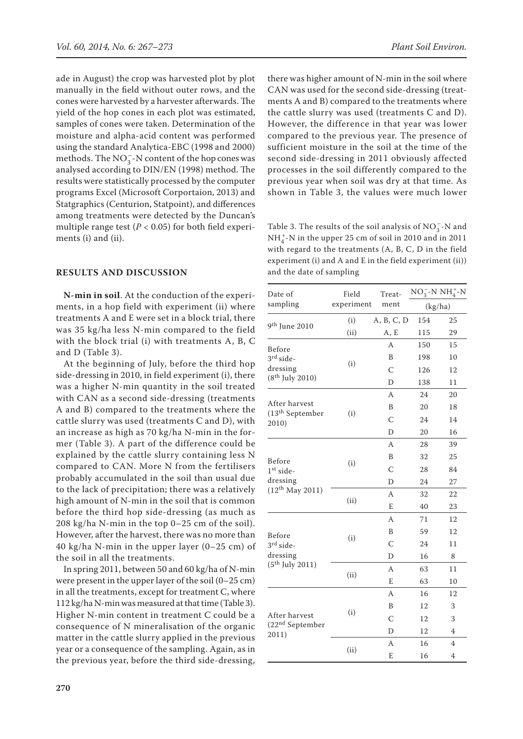ade in August) the crop was harvested plot by plot manually in the field without outer rows, and the cones were harvested by a harvester afterwards. The yield of the hop cones in each plot was estimated, samples of cones were taken. Determination of the moisture and alpha-acid content was performed using the standard Analytica-EBC (1998 and 2000) methods. The  $NO_3^-$ -N content of the hop cones was analysed according to DIN/EN (1998) method. The results were statistically processed by the computer programs Excel (Microsoft Corportaion, 2013) and Statgraphics (Centurion, Statpoint), and differences among treatments were detected by the Duncan's multiple range test  $(P < 0.05)$  for both field experiments (i) and (ii).

### **RESULTS AND DISCUSSION**

**N-min in soil**. At the conduction of the experiments, in a hop field with experiment (ii) where treatments A and E were set in a block trial, there was 35 kg/ha less N-min compared to the field with the block trial (i) with treatments A, B, C and D (Table 3).

At the beginning of July, before the third hop side-dressing in 2010, in field experiment (i), there was a higher N-min quantity in the soil treated with CAN as a second side-dressing (treatments A and B) compared to the treatments where the cattle slurry was used (treatments C and D), with an increase as high as 70 kg/ha N-min in the former (Table 3). A part of the difference could be explained by the cattle slurry containing less N compared to CAN. More N from the fertilisers probably accumulated in the soil than usual due to the lack of precipitation; there was a relatively high amount of N-min in the soil that is common before the third hop side-dressing (as much as 208 kg/ha N-min in the top 0–25 cm of the soil). However, after the harvest, there was no more than 40 kg/ha N-min in the upper layer (0–25 cm) of the soil in all the treatments.

In spring 2011, between 50 and 60 kg/ha of N-min were present in the upper layer of the soil (0–25 cm) in all the treatments, except for treatment C, where 112 kg/ha N-min was measured at that time (Table 3). Higher N-min content in treatment C could be a consequence of N mineralisation of the organic matter in the cattle slurry applied in the previous year or a consequence of the sampling. Again, as in the previous year, before the third side-dressing, there was higher amount of N-min in the soil where CAN was used for the second side-dressing (treatments A and B) compared to the treatments where the cattle slurry was used (treatments C and D). However, the difference in that year was lower compared to the previous year. The presence of sufficient moisture in the soil at the time of the second side-dressing in 2011 obviously affected processes in the soil differently compared to the previous year when soil was dry at that time. As shown in Table 3, the values were much lower

Table 3. The results of the soil analysis of  $\mathrm{NO_3^-}\text{-}\mathrm{N}$  and  $\rm NH_4^+$  -N in the upper 25 cm of soil in 2010 and in 2011 with regard to the treatments (A, B, C, D in the field experiment (i) and A and E in the field experiment (ii)) and the date of sampling

| Date of                              | Field      | Treat-     | $NO_3^-N NH_4^+N$ |                |  |
|--------------------------------------|------------|------------|-------------------|----------------|--|
| sampling                             | experiment | ment       | (kg/ha)           |                |  |
| 9 <sup>th</sup> June 2010            | (i)        | A, B, C, D | 154               | 25             |  |
|                                      | (ii)       | A, E       | 115               | 29             |  |
| Before                               |            | A          | 150               | 15             |  |
| 3rd side-                            | (i)        | B          | 198               | 10             |  |
| dressing                             |            | C          | 126               | 12             |  |
| $(8^{th}$ July 2010)                 |            | D          | 138               | 11             |  |
|                                      |            | A          | 24                | 20             |  |
| After harvest                        |            | B          | 20                | 18             |  |
| (13 <sup>th</sup> September<br>2010) | (i)        | C          | 24                | 14             |  |
|                                      |            | D          | 20                | 16             |  |
|                                      |            | A          | 28                | 39             |  |
| Before                               |            | B          | 32                | 25             |  |
| $1st side-$                          | (i)        | C          | 28                | 84             |  |
| dressing                             |            | D          | 24                | 27             |  |
| $(12^{th}$ May 2011)                 |            | A          | 32                | 22             |  |
|                                      | (ii)       | E          | 40                | 23             |  |
|                                      |            | A          | 71                | 12             |  |
| Before                               |            | B          | 59                | 12             |  |
| 3rd side-                            | (i)        | C          | 24                | 11             |  |
| dressing                             |            | D          | 16                | 8              |  |
| $(5^{th}$ July 2011)                 |            | A          | 63                | 11             |  |
|                                      | (ii)       | E          | 63                | 10             |  |
|                                      |            | А          | 16                | 12             |  |
|                                      |            | B          | 12                | 3              |  |
| After harvest                        | (i)        | C          | 12                | 3              |  |
| (22 <sup>nd</sup> September<br>2011) |            | D          | 12                | $\overline{4}$ |  |
|                                      |            | A          | 16                | 4              |  |
|                                      | (ii)       | E          | 16                | 4              |  |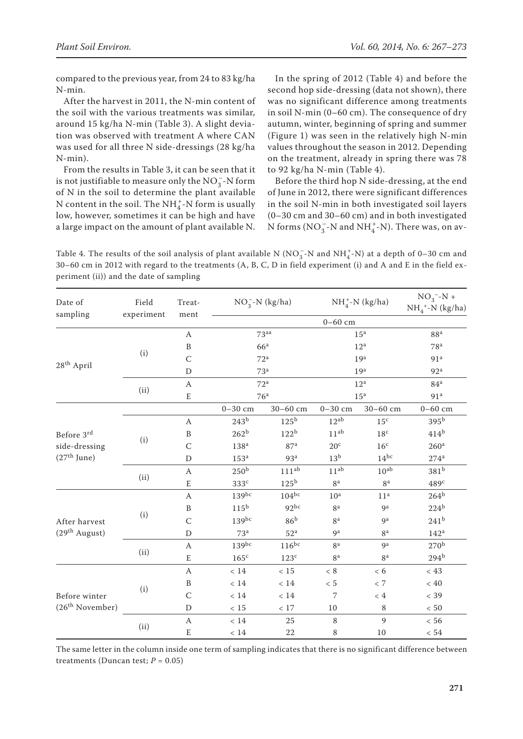compared to the previous year, from 24 to 83 kg/ha N-min.

After the harvest in 2011, the N-min content of the soil with the various treatments was similar, around 15 kg/ha N-min (Table 3). A slight deviation was observed with treatment A where CAN was used for all three N side-dressings (28 kg/ha N-min).

From the results in Table 3, it can be seen that it is not justifiable to measure only the  $NO_3^-$ -N form of N in the soil to determine the plant available N content in the soil. The  $NH_4^+$ -N form is usually low, however, sometimes it can be high and have a large impact on the amount of plant available N.

In the spring of 2012 (Table 4) and before the second hop side-dressing (data not shown), there was no significant difference among treatments in soil N-min (0–60 cm). The consequence of dry autumn, winter, beginning of spring and summer (Figure 1) was seen in the relatively high N-min values throughout the season in 2012. Depending on the treatment, already in spring there was 78 to 92 kg/ha N-min (Table 4).

Before the third hop N side-dressing, at the end of June in 2012, there were significant differences in the soil N-min in both investigated soil layers (0–30 cm and 30–60 cm) and in both investigated N forms ( $NO_3^-$ -N and  $NH_4^+$ -N). There was, on av-

Table 4. The results of the soil analysis of plant available N (NO<sub>3</sub>-N and NH<sub>4</sub><sup>+</sup>-N) at a depth of 0–30 cm and 30–60 cm in 2012 with regard to the treatments (A, B, C, D in field experiment (i) and A and E in the field experiment (ii)) and the date of sampling

| Date of<br>sampling         | Field<br>experiment | Treat-<br>ment   | $NO_3^-N$ (kg/ha) |                  | $NH4+-N (kg/ha)$ |                  | $NO_3^- - N +$<br>$NH4+-N (kg/ha)$ |  |
|-----------------------------|---------------------|------------------|-------------------|------------------|------------------|------------------|------------------------------------|--|
|                             |                     |                  | $0 - 60$ cm       |                  |                  |                  |                                    |  |
|                             | (i)                 | A                | 73 <sup>aa</sup>  |                  | 15 <sup>a</sup>  |                  | 88 <sup>a</sup>                    |  |
|                             |                     | $\, {\bf B}$     | 66 <sup>a</sup>   |                  | 12 <sup>a</sup>  |                  | 78 <sup>a</sup>                    |  |
|                             |                     | $\mathsf{C}$     | 72 <sup>a</sup>   |                  | 19 <sup>a</sup>  |                  | 91 <sup>a</sup>                    |  |
| 28 <sup>th</sup> April      |                     | $\mathbf D$      | 73 <sup>a</sup>   |                  | 19 <sup>a</sup>  |                  | 92 <sup>a</sup>                    |  |
|                             |                     | $\boldsymbol{A}$ | 72 <sup>a</sup>   |                  | 12 <sup>a</sup>  |                  | 84 <sup>a</sup>                    |  |
|                             | (ii)                | $\mathbf E$      | 76 <sup>a</sup>   |                  | 15 <sup>a</sup>  |                  | 91 <sup>a</sup>                    |  |
|                             |                     |                  | $0 - 30$ cm       | 30-60 cm         | $0 - 30$ cm      | $30 - 60$ cm     | $0 - 60$ cm                        |  |
|                             |                     | $\boldsymbol{A}$ | 243 <sup>b</sup>  | $125^{\rm b}$    | $12^{ab}$        | 15 <sup>c</sup>  | 395 <sup>b</sup>                   |  |
| Before 3rd                  | (i)                 | $\, {\bf B}$     | 262 <sup>b</sup>  | 122 <sup>b</sup> | 11 <sup>ab</sup> | 18 <sup>c</sup>  | 414 <sup>b</sup>                   |  |
| side-dressing               |                     | $\mathsf C$      | 138 <sup>a</sup>  | 87 <sup>a</sup>  | 20 <sup>c</sup>  | 16 <sup>c</sup>  | 260 <sup>a</sup>                   |  |
| $(27th$ June)               |                     | $\mathbf D$      | 153 <sup>a</sup>  | 93 <sup>a</sup>  | 13 <sup>b</sup>  | $14^{bc}$        | $274^a$                            |  |
|                             | (ii)                | $\boldsymbol{A}$ | 250 <sup>b</sup>  | $111^{ab}$       | $11^{ab}$        | 10 <sup>ab</sup> | 381 <sup>b</sup>                   |  |
|                             |                     | $\mathbf E$      | 333c              | 125 <sup>b</sup> | 8 <sup>a</sup>   | 8 <sup>a</sup>   | 489 <sup>c</sup>                   |  |
|                             | (i)                 | $\boldsymbol{A}$ | $139^{bc}$        | $104^{bc}$       | 10 <sup>a</sup>  | 11 <sup>a</sup>  | 264 <sup>b</sup>                   |  |
|                             |                     | $\, {\bf B}$     | 115 <sup>b</sup>  | $92^{bc}$        | 8 <sup>a</sup>   | <b>g</b> a       | 224 <sup>b</sup>                   |  |
| After harvest               |                     | $\mathsf C$      | $139^{bc}$        | 86 <sup>b</sup>  | 8 <sup>a</sup>   | q <sup>a</sup>   | 241 <sup>b</sup>                   |  |
| (29 <sup>th</sup> August)   |                     | D                | 73 <sup>a</sup>   | 52 <sup>a</sup>  | 9a               | 8 <sup>a</sup>   | 142 <sup>a</sup>                   |  |
|                             | (ii)                | $\boldsymbol{A}$ | $139^{bc}$        | $116^{bc}$       | 8 <sup>a</sup>   | q <sup>a</sup>   | 270 <sup>b</sup>                   |  |
|                             |                     | $\mathbf E$      | $165^{\circ}$     | $123^{\circ}$    | 8 <sup>a</sup>   | 8 <sup>a</sup>   | 294 <sup>b</sup>                   |  |
|                             | (i)                 | $\boldsymbol{A}$ | $<14\,$           | $<15\,$          | $<\,8$           | < 6              | $< 43\,$                           |  |
|                             |                     | $\, {\bf B}$     | $<14\,$           | $<14\,$          | $<\,5$           | $<\,7$           | $< 40\,$                           |  |
| Before winter               |                     | $\mathsf{C}$     | $<14\,$           | < 14             | 7                | ~< 4             | $<$ 39                             |  |
| (26 <sup>th</sup> November) |                     | $\mathbf D$      | $<15\,$           | $<17\,$          | $10\,$           | 8                | $<50\,$                            |  |
|                             | (ii)                | $\mathbf{A}$     | < 14              | 25               | 8                | 9                | < 56                               |  |
|                             |                     | ${\bf E}$        | $<\,14$           | 22               | 8                | 10               | $<54\,$                            |  |

The same letter in the column inside one term of sampling indicates that there is no significant difference between treatments (Duncan test;  $P = 0.05$ )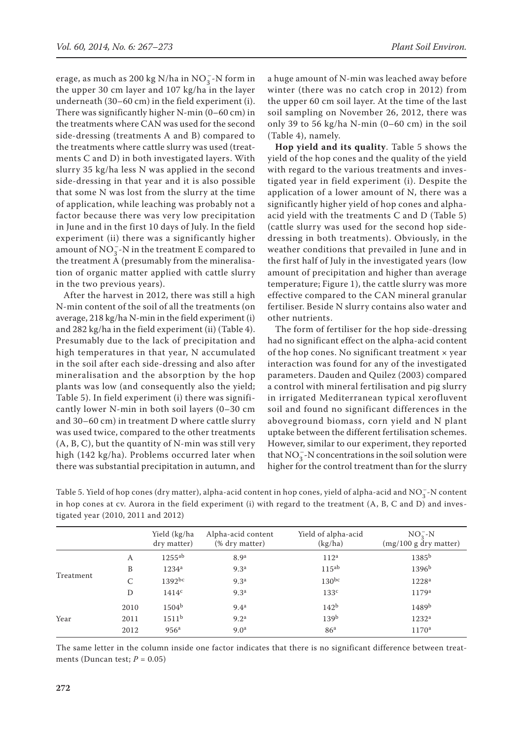erage, as much as 200 kg N/ha in NO<sub>3</sub>-N form in the upper 30 cm layer and 107 kg/ha in the layer underneath (30–60 cm) in the field experiment (i). There was significantly higher N-min (0–60 cm) in the treatments where CAN was used for the second side-dressing (treatments A and B) compared to the treatments where cattle slurry was used (treatments C and D) in both investigated layers. With slurry 35 kg/ha less N was applied in the second side-dressing in that year and it is also possible that some N was lost from the slurry at the time of application, while leaching was probably not a factor because there was very low precipitation in June and in the first 10 days of July. In the field experiment (ii) there was a significantly higher amount of NO<sub>3</sub> - N in the treatment E compared to the treatment A (presumably from the mineralisation of organic matter applied with cattle slurry in the two previous years).

After the harvest in 2012, there was still a high N-min content of the soil of all the treatments (on average, 218 kg/ha N-min in the field experiment (i) and 282 kg/ha in the field experiment (ii) (Table 4). Presumably due to the lack of precipitation and high temperatures in that year, N accumulated in the soil after each side-dressing and also after mineralisation and the absorption by the hop plants was low (and consequently also the yield; Table 5). In field experiment (i) there was significantly lower N-min in both soil layers (0–30 cm and 30–60 cm) in treatment D where cattle slurry was used twice, compared to the other treatments (A, B, C), but the quantity of N-min was still very high (142 kg/ha). Problems occurred later when there was substantial precipitation in autumn, and a huge amount of N-min was leached away before winter (there was no catch crop in 2012) from the upper 60 cm soil layer. At the time of the last soil sampling on November 26, 2012, there was only 39 to 56 kg/ha N-min (0–60 cm) in the soil (Table 4), namely.

**Hop yield and its quality**. Table 5 shows the yield of the hop cones and the quality of the yield with regard to the various treatments and investigated year in field experiment (i). Despite the application of a lower amount of N, there was a significantly higher yield of hop cones and alphaacid yield with the treatments C and D (Table 5) (cattle slurry was used for the second hop sidedressing in both treatments). Obviously, in the weather conditions that prevailed in June and in the first half of July in the investigated years (low amount of precipitation and higher than average temperature; Figure 1), the cattle slurry was more effective compared to the CAN mineral granular fertiliser. Beside N slurry contains also water and other nutrients.

The form of fertiliser for the hop side-dressing had no significant effect on the alpha-acid content of the hop cones. No significant treatment  $\times$  year interaction was found for any of the investigated parameters. Dauden and Quilez (2003) compared a control with mineral fertilisation and pig slurry in irrigated Mediterranean typical xerofluvent soil and found no significant differences in the aboveground biomass, corn yield and N plant uptake between the different fertilisation schemes. However, similar to our experiment, they reported that  $NO_3^-$ -N concentrations in the soil solution were higher for the control treatment than for the slurry

|           |      | Yield (kg/ha<br>dry matter) | Alpha-acid content<br>(% dry matter) | Yield of alpha-acid<br>(kg/ha) | $NO3-N$<br>(mg/100 g dry matter) |
|-----------|------|-----------------------------|--------------------------------------|--------------------------------|----------------------------------|
|           | A    | $1255^{ab}$                 | 8.9 <sup>a</sup>                     | 112 <sup>a</sup>               | 1385b                            |
|           | B    | 1234 <sup>a</sup>           | 9.3 <sup>a</sup>                     | $115^{ab}$                     | 1396 <sup>b</sup>                |
| Treatment | C    | $1392$ <sub>bc</sub>        | 9.3 <sup>a</sup>                     | $130^{bc}$                     | 1228 <sup>a</sup>                |
|           | D    | 1414 <sup>c</sup>           | 9.3 <sup>a</sup>                     | 133 <sup>c</sup>               | 1179 <sup>a</sup>                |
|           | 2010 | $1504^{\rm b}$              | 9.4 <sup>a</sup>                     | 142 <sup>b</sup>               | 1489b                            |
| Year      | 2011 | 1511 <sup>b</sup>           | 9.2 <sup>a</sup>                     | 139 <sup>b</sup>               | 1232 <sup>a</sup>                |
|           | 2012 | 956 <sup>a</sup>            | 9.0 <sup>a</sup>                     | 86 <sup>a</sup>                | 1170 <sup>a</sup>                |
|           |      |                             |                                      |                                |                                  |

Table 5. Yield of hop cones (dry matter), alpha-acid content in hop cones, yield of alpha-acid and  $NO_3^-$ -N content in hop cones at cv. Aurora in the field experiment (i) with regard to the treatment (A, B, C and D) and investigated year (2010, 2011 and 2012)

The same letter in the column inside one factor indicates that there is no significant difference between treatments (Duncan test;  $P = 0.05$ )